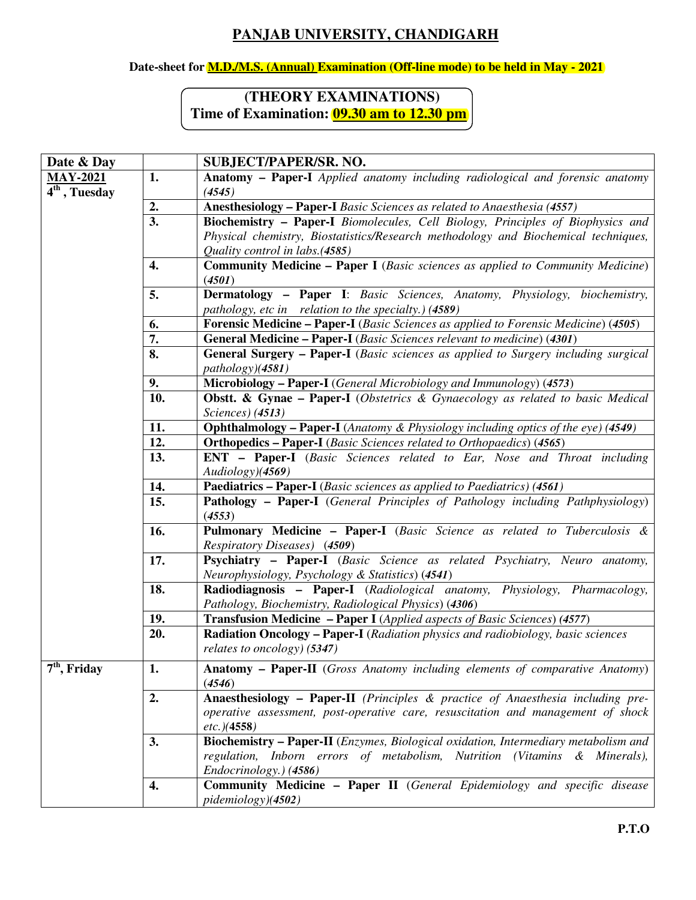## **PANJAB UNIVERSITY, CHANDIGARH**

## **Date-sheet for M.D./M.S. (Annual) Examination (Off-line mode) to be held in May - 2021**

## **(THEORY EXAMINATIONS) Time of Examination: 09.30 am to 12.30 pm**

| Date & Day                    |                  | <b>SUBJECT/PAPER/SR. NO.</b>                                                               |
|-------------------------------|------------------|--------------------------------------------------------------------------------------------|
| <b>MAY-2021</b>               | 1.               | <b>Anatomy – Paper-I</b> Applied anatomy including radiological and forensic anatomy       |
| $\overline{4^{th}}$ , Tuesday |                  | (4545)                                                                                     |
|                               | 2.               | Anesthesiology - Paper-I Basic Sciences as related to Anaesthesia (4557)                   |
|                               | $\overline{3}$ . | <b>Biochemistry - Paper-I</b> Biomolecules, Cell Biology, Principles of Biophysics and     |
|                               |                  | Physical chemistry, Biostatistics/Research methodology and Biochemical techniques,         |
|                               |                  | Quality control in labs.(4585)                                                             |
|                               | 4.               | <b>Community Medicine - Paper I</b> (Basic sciences as applied to Community Medicine)      |
|                               |                  | (4501)                                                                                     |
|                               | 5.               | <b>Dermatology - Paper I:</b> Basic Sciences, Anatomy, Physiology, biochemistry,           |
|                               |                  | pathology, etc in relation to the specialty.) (4589)                                       |
|                               | 6.               | <b>Forensic Medicine – Paper-I</b> (Basic Sciences as applied to Forensic Medicine) (4505) |
|                               | 7.               | <b>General Medicine - Paper-I</b> (Basic Sciences relevant to medicine) (4301)             |
|                               | 8.               | General Surgery - Paper-I (Basic sciences as applied to Surgery including surgical         |
|                               |                  | pathology)(4581)                                                                           |
|                               | 9.               | Microbiology - Paper-I (General Microbiology and Immunology) (4573)                        |
|                               | 10.              | <b>Obstt. &amp; Gynae – Paper-I</b> (Obstetrics & Gynaecology as related to basic Medical  |
|                               |                  | Sciences) (4513)                                                                           |
|                               | 11.              | <b>Ophthalmology – Paper-I</b> (Anatomy & Physiology including optics of the eye) (4549)   |
|                               | 12.              | Orthopedics - Paper-I (Basic Sciences related to Orthopaedics) (4565)                      |
|                               | 13.              | <b>ENT</b> - Paper-I (Basic Sciences related to Ear, Nose and Throat including             |
|                               |                  | Audiology)(4569)                                                                           |
|                               | 14.              | <b>Paediatrics – Paper-I</b> (Basic sciences as applied to Paediatrics) (4561)             |
|                               | 15.              | <b>Pathology - Paper-I</b> (General Principles of Pathology including Pathphysiology)      |
|                               |                  | (4553)                                                                                     |
|                               | 16.              | Pulmonary Medicine - Paper-I (Basic Science as related to Tuberculosis &                   |
|                               |                  | Respiratory Diseases) (4509)                                                               |
|                               | 17.              | Psychiatry - Paper-I (Basic Science as related Psychiatry, Neuro anatomy,                  |
|                               |                  | Neurophysiology, Psychology & Statistics) (4541)                                           |
|                               | 18.              | Radiodiagnosis - Paper-I (Radiological anatomy, Physiology, Pharmacology,                  |
|                               |                  | Pathology, Biochemistry, Radiological Physics) (4306)                                      |
|                               | 19.              | <b>Transfusion Medicine - Paper I</b> (Applied aspects of Basic Sciences) (4577)           |
|                               | 20.              | <b>Radiation Oncology – Paper-I</b> (Radiation physics and radiobiology, basic sciences    |
|                               |                  | relates to oncology) (5347)                                                                |
| $7th$ , Friday                | 1.               | Anatomy - Paper-II (Gross Anatomy including elements of comparative Anatomy)               |
|                               |                  | (4546)                                                                                     |
|                               | 2.               | Anaesthesiology - Paper-II (Principles & practice of Anaesthesia including pre-            |
|                               |                  | operative assessment, post-operative care, resuscitation and management of shock           |
|                               |                  | $etc.$ )(4558)                                                                             |
|                               | 3.               | <b>Biochemistry – Paper-II</b> (Enzymes, Biological oxidation, Intermediary metabolism and |
|                               |                  | regulation, Inborn errors of metabolism, Nutrition (Vitamins & Minerals),                  |
|                               |                  | Endocrinology.) (4586)                                                                     |
|                               | 4.               | <b>Community Medicine - Paper II</b> (General Epidemiology and specific disease            |
|                               |                  | pidemiology)(4502)                                                                         |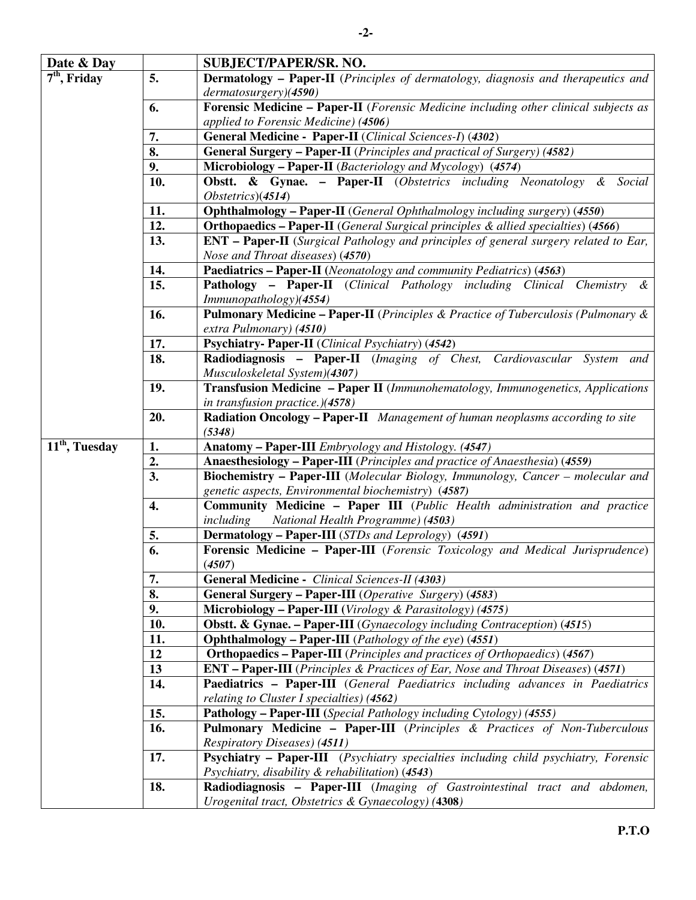| Date & Day                            |                  | <b>SUBJECT/PAPER/SR. NO.</b>                                                                       |
|---------------------------------------|------------------|----------------------------------------------------------------------------------------------------|
| $7th$ , Friday                        | 5.               | Dermatology - Paper-II (Principles of dermatology, diagnosis and therapeutics and                  |
|                                       |                  | dermatosurgery)(4590)                                                                              |
|                                       | 6.               | Forensic Medicine - Paper-II (Forensic Medicine including other clinical subjects as               |
|                                       |                  | applied to Forensic Medicine) (4506)                                                               |
|                                       | 7.               | General Medicine - Paper-II (Clinical Sciences-I) (4302)                                           |
|                                       | 8.               | <b>General Surgery - Paper-II</b> (Principles and practical of Surgery) (4582)                     |
|                                       | 9.               | Microbiology - Paper-II (Bacteriology and Mycology) (4574)                                         |
|                                       | 10.              | <b>Obstt. &amp; Gynae. - Paper-II</b> (Obstetrics including Neonatology & Social                   |
|                                       |                  | $Obsterics$ $(4514)$                                                                               |
|                                       | 11.              | <b>Ophthalmology - Paper-II</b> (General Ophthalmology including surgery) (4550)                   |
|                                       | 12.              | <b>Orthopaedics - Paper-II</b> (General Surgical principles & allied specialties) (4566)           |
|                                       | 13.              | <b>ENT</b> – <b>Paper-II</b> (Surgical Pathology and principles of general surgery related to Ear, |
|                                       |                  | Nose and Throat diseases) (4570)                                                                   |
|                                       |                  |                                                                                                    |
|                                       | 14.              | Paediatrics - Paper-II (Neonatology and community Pediatrics) (4563)                               |
|                                       | 15.              | Pathology - Paper-II (Clinical Pathology including Clinical Chemistry &                            |
|                                       |                  | Immunopathology)(4554)                                                                             |
|                                       | 16.              | <b>Pulmonary Medicine – Paper-II</b> (Principles & Practice of Tuberculosis (Pulmonary $\&$        |
|                                       |                  | extra Pulmonary) (4510)                                                                            |
|                                       | 17.              | <b>Psychiatry-Paper-II</b> (Clinical Psychiatry) (4542)                                            |
|                                       | 18.              | Radiodiagnosis - Paper-II (Imaging of Chest, Cardiovascular System and                             |
|                                       |                  | Musculoskeletal System)(4307)                                                                      |
|                                       | 19.              | Transfusion Medicine - Paper II (Immunohematology, Immunogenetics, Applications                    |
|                                       |                  | in transfusion practice.)(4578)                                                                    |
|                                       | 20.              | <b>Radiation Oncology – Paper-II</b> Management of human neoplasms according to site               |
|                                       |                  | (5348)                                                                                             |
| $\overline{11}^{\text{th}}$ , Tuesday | 1.               | Anatomy - Paper-III Embryology and Histology. (4547)                                               |
|                                       | 2.               | Anaesthesiology - Paper-III (Principles and practice of Anaesthesia) (4559)                        |
|                                       | 3.               | Biochemistry - Paper-III (Molecular Biology, Immunology, Cancer - molecular and                    |
|                                       |                  | genetic aspects, Environmental biochemistry) (4587)                                                |
|                                       | 4.               | Community Medicine - Paper III (Public Health administration and practice                          |
|                                       |                  | including<br>National Health Programme) (4503)                                                     |
|                                       | 5.               | <b>Dermatology - Paper-III</b> (STDs and Leprology) (4591)                                         |
|                                       | $\overline{6}$ . | Forensic Medicine - Paper-III (Forensic Toxicology and Medical Jurisprudence)                      |
|                                       |                  | (4507)                                                                                             |
|                                       | 7.               | General Medicine - Clinical Sciences-II (4303)                                                     |
|                                       | 8.               | <b>General Surgery – Paper-III</b> (Operative Surgery) (4583)                                      |
|                                       | 9.               | Microbiology - Paper-III (Virology & Parasitology) (4575)                                          |
|                                       | 10.              | <b>Obstt. &amp; Gynae. - Paper-III</b> (Gynaecology including Contraception) (4515)                |
|                                       | 11.              | Ophthalmology - Paper-III (Pathology of the eye) (4551)                                            |
|                                       | 12               | <b>Orthopaedics - Paper-III</b> (Principles and practices of Orthopaedics) (4567)                  |
|                                       | 13               | <b>ENT</b> – Paper-III (Principles & Practices of Ear, Nose and Throat Diseases) (4571)            |
|                                       | 14.              | Paediatrics - Paper-III (General Paediatrics including advances in Paediatrics                     |
|                                       |                  | relating to Cluster I specialties) (4562)                                                          |
|                                       | 15.              | Pathology - Paper-III (Special Pathology including Cytology) (4555)                                |
|                                       | 16.              | Pulmonary Medicine - Paper-III (Principles & Practices of Non-Tuberculous                          |
|                                       |                  | Respiratory Diseases) (4511)                                                                       |
|                                       | 17.              | Psychiatry - Paper-III (Psychiatry specialties including child psychiatry, Forensic                |
|                                       |                  | Psychiatry, disability & rehabilitation) (4543)                                                    |
|                                       | 18.              | Radiodiagnosis - Paper-III (Imaging of Gastrointestinal tract and abdomen,                         |
|                                       |                  | Urogenital tract, Obstetrics & Gynaecology) (4308)                                                 |